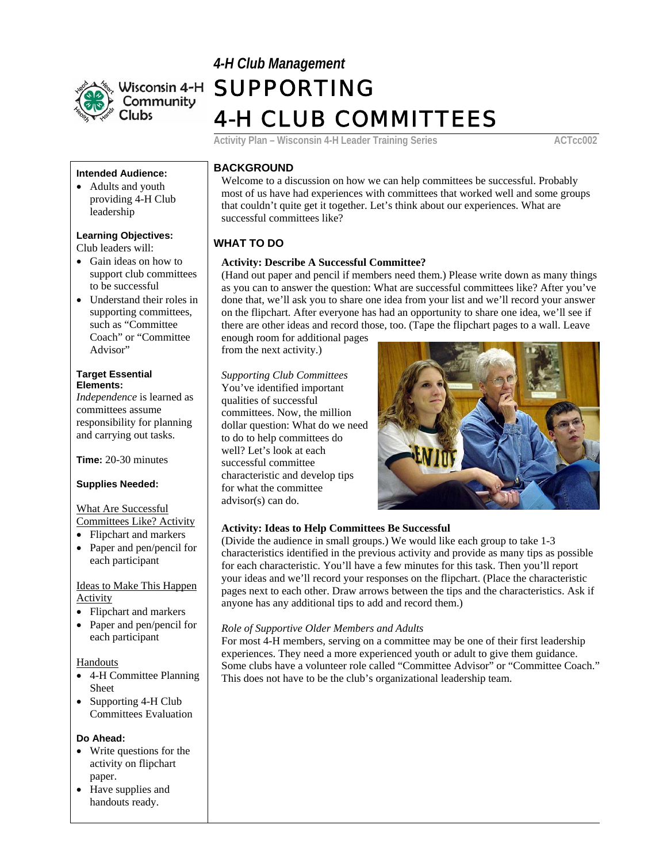

# *4-H Club Management* SUPPORTING 4-H CLUB COMMITTEES

Activity Plan – Wisconsin 4-H Leader Training Series **ACTCC002** 

#### **Intended Audience:**

• Adults and youth providing 4-H Club leadership

# **Learning Objectives:**

- Club leaders will:
- Gain ideas on how to support club committees to be successful
- Understand their roles in supporting committees, such as "Committee Coach" or "Committee Advisor"

#### **Target Essential Elements:**

*Independence* is learned as committees assume responsibility for planning and carrying out tasks.

**Time:** 20-30 minutes

#### **Supplies Needed:**

#### What Are Successful Committees Like? Activity

- 
- Flipchart and markers
- Paper and pen/pencil for each participant

#### Ideas to Make This Happen Activity

- Flipchart and markers
- Paper and pen/pencil for each participant

Handouts

- 4-H Committee Planning Sheet
- Supporting 4-H Club Committees Evaluation

#### **Do Ahead:**

- Write questions for the activity on flipchart paper.
- Have supplies and handouts ready.

### **BACKGROUND**

Welcome to a discussion on how we can help committees be successful. Probably most of us have had experiences with committees that worked well and some groups that couldn't quite get it together. Let's think about our experiences. What are successful committees like?

## **WHAT TO DO**

#### **Activity: Describe A Successful Committee?**

(Hand out paper and pencil if members need them.) Please write down as many things as you can to answer the question: What are successful committees like? After you've done that, we'll ask you to share one idea from your list and we'll record your answer on the flipchart. After everyone has had an opportunity to share one idea, we'll see if there are other ideas and record those, too. (Tape the flipchart pages to a wall. Leave

enough room for additional p ages from the next activity.)

# *Supporting Club Committees*

dollar question: What do we need You've identified important qualities of successful committees. Now, the million to do to help committees do well? Let's look at each successful committee characteristic and develop tips for what the committee advisor(s) can do.



#### **Activity: Ideas to Help Committees Be Successful**

(Divide the audience in small groups.) We would like each group to take 1-3 characteristics identified in the previous activity and provide as many tips as possible for each characteristic. You'll have a few minutes for this task. Then you'll report your ideas and we'll record your responses on the flipchart. (Place the characteristic pages next to each other. Draw arrows between the tips and the characteristics. Ask if anyone has any additional tips to add and record them.)

#### *Role of Supportive Older Members and Adults*

For most 4-H members, serving on a committee may be one of their first leadership experiences. They need a more experienced youth or adult to give them guidance. Some clubs have a volunteer role called "Committee Advisor" or "Committee Coach." This does not have to be the club's organizational leadership team.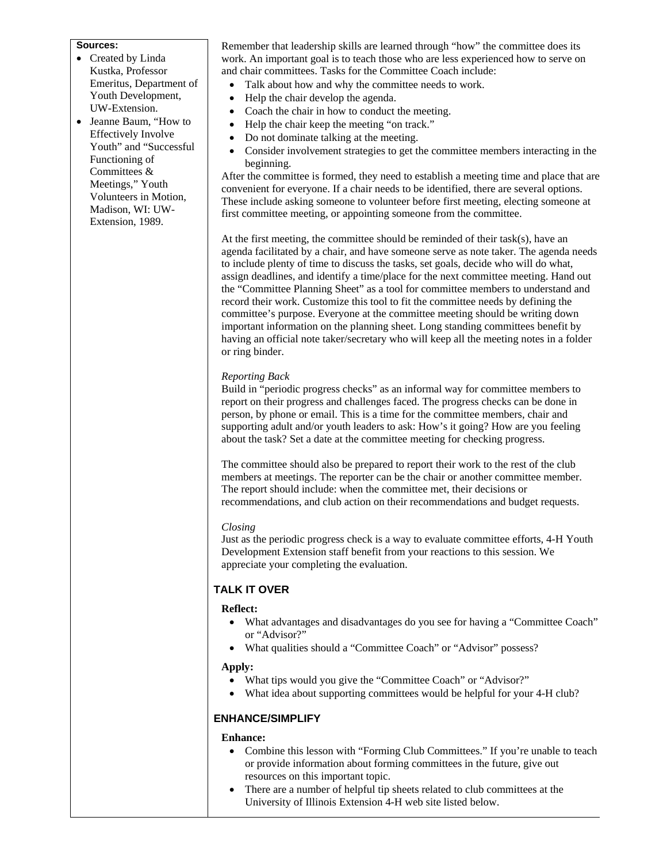#### **Sources:**

- Created by Linda Kustka, Professor Emeritus, Department of Youth Development, UW-Extension.
- Jeanne Baum, "How to Effectively Involve Youth" and "Successful Functioning of Committees & Meetings," Youth Volunteers in Motion, Madison, WI: UW-Extension, 1989.

Remember that leadership skills are learned through "how" the committee does its work. An important goal is to teach those who are less experienced how to serve on and chair committees. Tasks for the Committee Coach include:

- Talk about how and why the committee needs to work.
	- Help the chair develop the agenda.
- Coach the chair in how to conduct the meeting.
- Help the chair keep the meeting "on track."
- Do not dominate talking at the meeting.
- Consider involvement strategies to get the committee members interacting in the beginning.

After the committee is formed, they need to establish a meeting time and place that are These include asking someone to volunteer before first meeting, electing someone at convenient for everyone. If a chair needs to be identified, there are several options. first committee meeting, or appointing someone from the committee.

At the first meeting, the committee should be reminded of their task(s), have an agenda facilitated by a chair, and have someone serve as note taker. The agenda needs assign deadlines, and identify a time/place for the next committee meeting. Hand out to include plenty of time to discuss the tasks, set goals, decide who will do what, the "Committee Planning Sheet" as a tool for committee members to understand and record their work. Customize this tool to fit the committee needs by defining the committee's purpose. Everyone at the committee meeting should be writing down important information on the planning sheet. Long standing committees benefit by having an official note taker/secretary who will keep all the meeting notes in a folder or ring binder.

#### **Reporting Back**

Build in "periodic progress checks" as an informal way for committee members to supporting adult and/or youth leaders to ask: How's it going? How are you feeling report on their progress and challenges faced. The progress checks can be done in person, by phone or email. This is a time for the committee members, chair and about the task? Set a date at the committee meeting for checking progress.

The committee should also be prepared to report their work to the rest of the club recommendations, and club action on their recommendations and budget requests. members at meetings. The reporter can be the chair or another committee member. The report should include: when the committee met, their decisions or

#### *losing C*

Just as the periodic progress check is a way to evaluate committee efforts, 4-H Youth Development Extension staff benefit from your reactions to this session. We appreciate your completing the evaluation.

#### **TALK IT OVER**

#### **Reflect:**

- What advantages and disadvantages do you see for having a "Committee Coach" or "Advisor?"
- What qualities should a "Committee Coach" or "Advisor" possess?

#### **Appl y:**

- What tips would you give the "Committee Coach" or "Advisor?"
- What idea about supporting committees would be helpful for your 4-H club?

#### **NHANCE/SIMPLIFY E**

#### **Enhance:**

- Combine this lesson with "Forming Club Committees." If you're unable to teach or provide information about forming committees in the future, give out resources on this important topic.
- There are a number of helpful tip sheets related to club committees at the University of Illinois Extension 4-H web site listed below.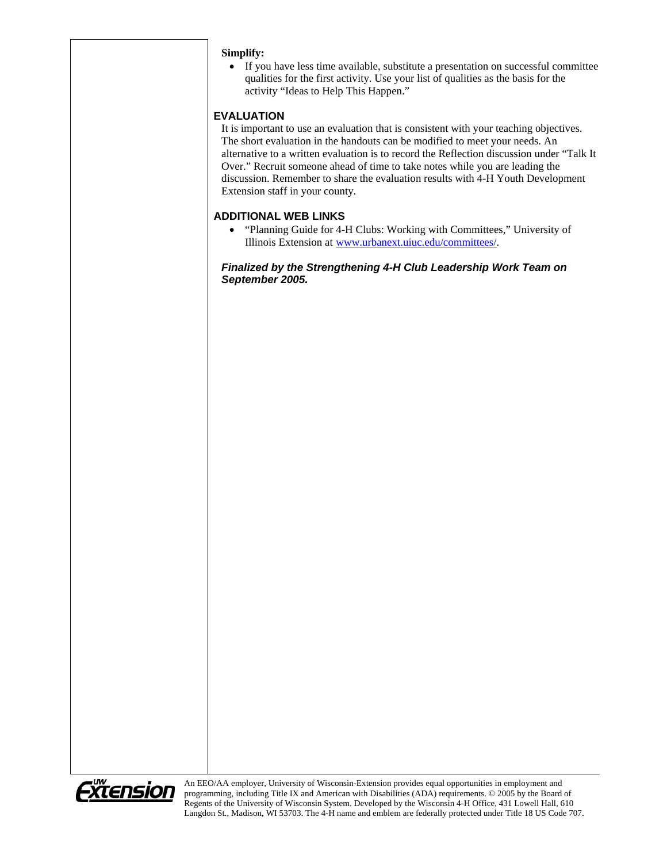#### **Simplify:**

• If you have less time available, substitute a presentation on successful committee qualities for the first activity. Use your list of qualities as the basis for the activity "Ideas to Help This Happen."

### **EVALUATION**

It is important to use an evaluation that is consistent with your teaching objectives. The short evaluation in the handouts can be modified to meet your needs. An alternative to a written evaluation is to record the Reflection discussion under "Talk It Over." Recruit someone ahead of time to take notes while you are leading the discussion. Remember to share the evaluation results with 4-H Youth Development Extension staff in your county.

#### **ADDITIONAL WEB LINKS**

• "Planning Guide for 4-H Clubs: Working with Committees," University of Illinois Extension at www.urbanext.uiuc.edu/committees/.

*Finalized by the Strengthening 4-H Club Leadership Work Team on September 2005.* 



An EEO/AA employer, University of Wisconsin-Extension provides equal opportunities in employment and programming, including Title IX and American with Disabilities (ADA) requirements. © 2005 by the Board of Regents of the University of Wisconsin System. Developed by the Wisconsin 4-H Office, 431 Lowell Hall, 610 Langdon St., Madison, WI 53703. The 4-H name and emblem are federally protected under Title 18 US Code 707.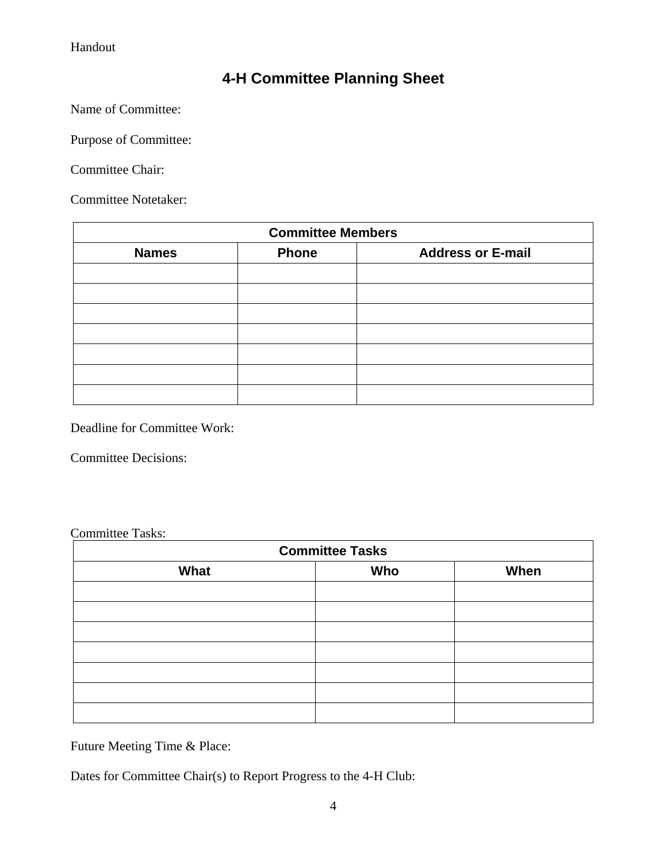Handout

# **4-H Committee Planning Sheet**

Name of Committee:

Purpose of Committee:

Committee Chair:

Committee Notetaker:

| <b>Committee Members</b> |              |                          |  |
|--------------------------|--------------|--------------------------|--|
| <b>Names</b>             | <b>Phone</b> | <b>Address or E-mail</b> |  |
|                          |              |                          |  |
|                          |              |                          |  |
|                          |              |                          |  |
|                          |              |                          |  |
|                          |              |                          |  |
|                          |              |                          |  |
|                          |              |                          |  |

Deadline for Committee Work:

Committee Decisions:

## Committee Tasks:

| <b>Committee Tasks</b> |     |      |  |
|------------------------|-----|------|--|
| What                   | Who | When |  |
|                        |     |      |  |
|                        |     |      |  |
|                        |     |      |  |
|                        |     |      |  |
|                        |     |      |  |
|                        |     |      |  |
|                        |     |      |  |

Future Meeting Time & Place:

Dates for Committee Chair(s) to Report Progress to the 4-H Club: